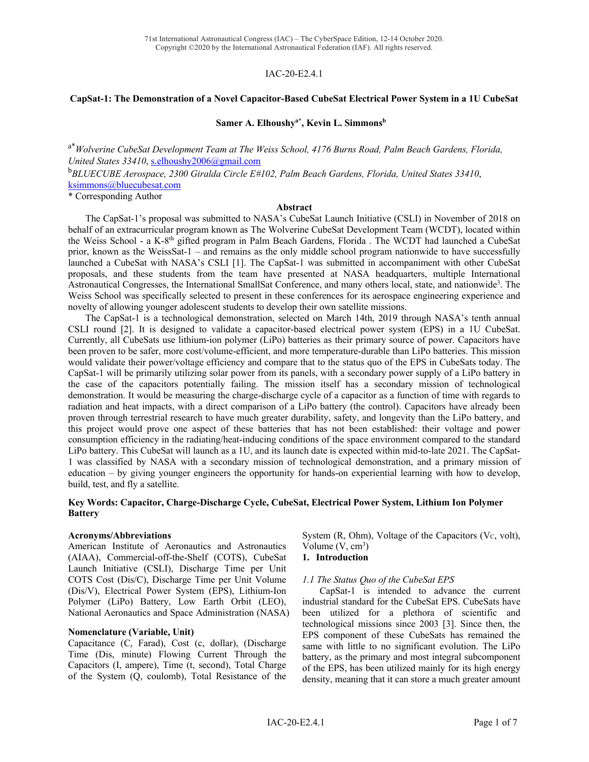## IAC-20-E2.4.1

### **CapSat-1: The Demonstration of a Novel Capacitor-Based CubeSat Electrical Power System in a 1U CubeSat**

## Samer A. Elhoushy<sup>a\*</sup>, Kevin L. Simmons<sup>b</sup>

a\* *Wolverine CubeSat Development Team at The Weiss School, 4176 Burns Road, Palm Beach Gardens, Florida, United States 33410*, s.elhoushy2006@gmail.com

b *BLUECUBE Aerospace, 2300 Giralda Circle E#102, Palm Beach Gardens, Florida, United States 33410*, ksimmons@bluecubesat.com

\* Corresponding Author

#### **Abstract**

The CapSat-1's proposal was submitted to NASA's CubeSat Launch Initiative (CSLI) in November of 2018 on behalf of an extracurricular program known as The Wolverine CubeSat Development Team (WCDT), located within the Weiss School - a K-8th gifted program in Palm Beach Gardens, Florida . The WCDT had launched a CubeSat prior, known as the WeissSat-1 – and remains as the only middle school program nationwide to have successfully launched a CubeSat with NASA's CSLI [1]. The CapSat-1 was submitted in accompaniment with other CubeSat proposals, and these students from the team have presented at NASA headquarters, multiple International Astronautical Congresses, the International SmallSat Conference, and many others local, state, and nationwide<sup>3</sup>. The Weiss School was specifically selected to present in these conferences for its aerospace engineering experience and novelty of allowing younger adolescent students to develop their own satellite missions.

The CapSat-1 is a technological demonstration, selected on March 14th, 2019 through NASA's tenth annual CSLI round [2]. It is designed to validate a capacitor-based electrical power system (EPS) in a 1U CubeSat. Currently, all CubeSats use lithium-ion polymer (LiPo) batteries as their primary source of power. Capacitors have been proven to be safer, more cost/volume-efficient, and more temperature-durable than LiPo batteries. This mission would validate their power/voltage efficiency and compare that to the status quo of the EPS in CubeSats today. The CapSat-1 will be primarily utilizing solar power from its panels, with a secondary power supply of a LiPo battery in the case of the capacitors potentially failing. The mission itself has a secondary mission of technological demonstration. It would be measuring the charge-discharge cycle of a capacitor as a function of time with regards to radiation and heat impacts, with a direct comparison of a LiPo battery (the control). Capacitors have already been proven through terrestrial research to have much greater durability, safety, and longevity than the LiPo battery, and this project would prove one aspect of these batteries that has not been established: their voltage and power consumption efficiency in the radiating/heat-inducing conditions of the space environment compared to the standard LiPo battery. This CubeSat will launch as a 1U, and its launch date is expected within mid-to-late 2021. The CapSat-1 was classified by NASA with a secondary mission of technological demonstration, and a primary mission of education – by giving younger engineers the opportunity for hands-on experiential learning with how to develop, build, test, and fly a satellite.

## **Key Words: Capacitor, Charge-Discharge Cycle, CubeSat, Electrical Power System, Lithium Ion Polymer Battery**

#### **Acronyms/Abbreviations**

American Institute of Aeronautics and Astronautics (AIAA), Commercial-off-the-Shelf (COTS), CubeSat Launch Initiative (CSLI), Discharge Time per Unit COTS Cost (Dis/C), Discharge Time per Unit Volume (Dis/V), Electrical Power System (EPS), Lithium-Ion Polymer (LiPo) Battery, Low Earth Orbit (LEO), National Aeronautics and Space Administration (NASA)

#### **Nomenclature (Variable, Unit)**

Capacitance (C, Farad), Cost (c, dollar), (Discharge Time (Dis, minute) Flowing Current Through the Capacitors (I, ampere), Time (t, second), Total Charge of the System (Q, coulomb), Total Resistance of the System (R, Ohm), Voltage of the Capacitors (V $c$ , volt), Volume  $(V, cm<sup>3</sup>)$ 

### **1. Introduction**

#### *1.1 The Status Quo of the CubeSat EPS*

CapSat-1 is intended to advance the current industrial standard for the CubeSat EPS. CubeSats have been utilized for a plethora of scientific and technological missions since 2003 [3]. Since then, the EPS component of these CubeSats has remained the same with little to no significant evolution. The LiPo battery, as the primary and most integral subcomponent of the EPS, has been utilized mainly for its high energy density, meaning that it can store a much greater amount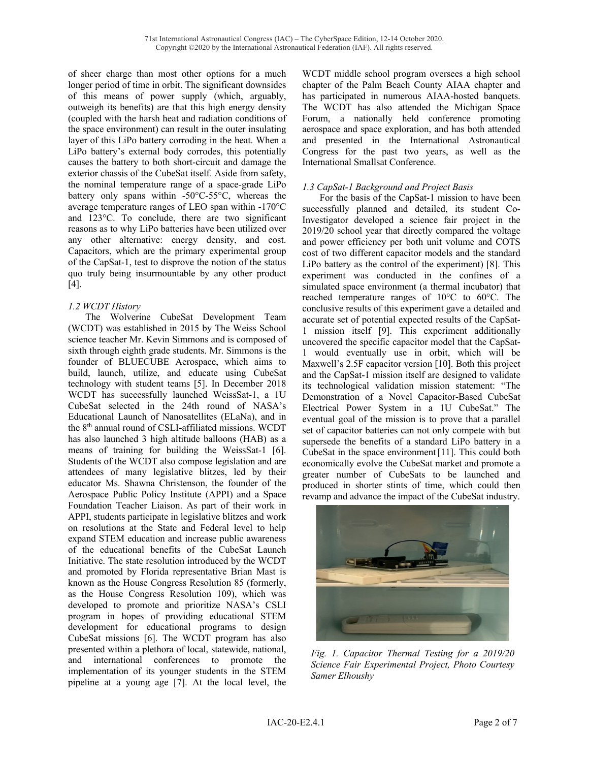of sheer charge than most other options for a much longer period of time in orbit. The significant downsides of this means of power supply (which, arguably, outweigh its benefits) are that this high energy density (coupled with the harsh heat and radiation conditions of the space environment) can result in the outer insulating layer of this LiPo battery corroding in the heat. When a LiPo battery's external body corrodes, this potentially causes the battery to both short-circuit and damage the exterior chassis of the CubeSat itself. Aside from safety, the nominal temperature range of a space-grade LiPo battery only spans within -50°C-55°C, whereas the average temperature ranges of LEO span within -170°C and 123°C. To conclude, there are two significant reasons as to why LiPo batteries have been utilized over any other alternative: energy density, and cost. Capacitors, which are the primary experimental group of the CapSat-1, test to disprove the notion of the status quo truly being insurmountable by any other product [4].

# *1.2 WCDT History*

The Wolverine CubeSat Development Team (WCDT) was established in 2015 by The Weiss School science teacher Mr. Kevin Simmons and is composed of sixth through eighth grade students. Mr. Simmons is the founder of BLUECUBE Aerospace, which aims to build, launch, utilize, and educate using CubeSat technology with student teams [5]. In December 2018 WCDT has successfully launched WeissSat-1, a 1U CubeSat selected in the 24th round of NASA's Educational Launch of Nanosatellites (ELaNa), and in the 8th annual round of CSLI-affiliated missions. WCDT has also launched 3 high altitude balloons (HAB) as a means of training for building the WeissSat-1 [6]. Students of the WCDT also compose legislation and are attendees of many legislative blitzes, led by their educator Ms. Shawna Christenson, the founder of the Aerospace Public Policy Institute (APPI) and a Space Foundation Teacher Liaison. As part of their work in APPI, students participate in legislative blitzes and work on resolutions at the State and Federal level to help expand STEM education and increase public awareness of the educational benefits of the CubeSat Launch Initiative. The state resolution introduced by the WCDT and promoted by Florida representative Brian Mast is known as the House Congress Resolution 85 (formerly, as the House Congress Resolution 109), which was developed to promote and prioritize NASA's CSLI program in hopes of providing educational STEM development for educational programs to design CubeSat missions [6]. The WCDT program has also presented within a plethora of local, statewide, national, and international conferences to promote the implementation of its younger students in the STEM pipeline at a young age [7]. At the local level, the

WCDT middle school program oversees a high school chapter of the Palm Beach County AIAA chapter and has participated in numerous AIAA-hosted banquets. The WCDT has also attended the Michigan Space Forum, a nationally held conference promoting aerospace and space exploration, and has both attended and presented in the International Astronautical Congress for the past two years, as well as the International Smallsat Conference.

# *1.3 CapSat-1 Background and Project Basis*

For the basis of the CapSat-1 mission to have been successfully planned and detailed, its student Co-Investigator developed a science fair project in the 2019/20 school year that directly compared the voltage and power efficiency per both unit volume and COTS cost of two different capacitor models and the standard LiPo battery as the control of the experiment) [8]. This experiment was conducted in the confines of a simulated space environment (a thermal incubator) that reached temperature ranges of 10°C to 60°C. The conclusive results of this experiment gave a detailed and accurate set of potential expected results of the CapSat-1 mission itself [9]. This experiment additionally uncovered the specific capacitor model that the CapSat-1 would eventually use in orbit, which will be Maxwell's 2.5F capacitor version [10]. Both this project and the CapSat-1 mission itself are designed to validate its technological validation mission statement: "The Demonstration of a Novel Capacitor-Based CubeSat Electrical Power System in a 1U CubeSat." The eventual goal of the mission is to prove that a parallel set of capacitor batteries can not only compete with but supersede the benefits of a standard LiPo battery in a CubeSat in the space environment[11]. This could both economically evolve the CubeSat market and promote a greater number of CubeSats to be launched and produced in shorter stints of time, which could then revamp and advance the impact of the CubeSat industry.



*Fig. 1. Capacitor Thermal Testing for a 2019/20 Science Fair Experimental Project, Photo Courtesy Samer Elhoushy*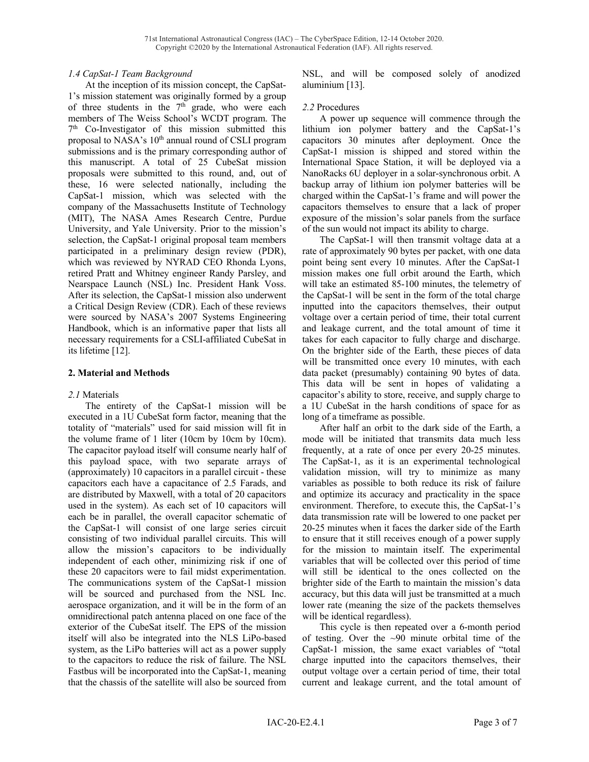## *1.4 CapSat-1 Team Background*

At the inception of its mission concept, the CapSat-1's mission statement was originally formed by a group of three students in the  $7<sup>th</sup>$  grade, who were each members of The Weiss School's WCDT program. The  $7<sup>th</sup>$  Co-Investigator of this mission submitted this proposal to NASA's 10<sup>th</sup> annual round of CSLI program submissions and is the primary corresponding author of this manuscript. A total of 25 CubeSat mission proposals were submitted to this round, and, out of these, 16 were selected nationally, including the CapSat-1 mission, which was selected with the company of the Massachusetts Institute of Technology (MIT), The NASA Ames Research Centre, Purdue University, and Yale University. Prior to the mission's selection, the CapSat-1 original proposal team members participated in a preliminary design review (PDR), which was reviewed by NYRAD CEO Rhonda Lyons, retired Pratt and Whitney engineer Randy Parsley, and Nearspace Launch (NSL) Inc. President Hank Voss. After its selection, the CapSat-1 mission also underwent a Critical Design Review (CDR). Each of these reviews were sourced by NASA's 2007 Systems Engineering Handbook, which is an informative paper that lists all necessary requirements for a CSLI-affiliated CubeSat in its lifetime [12].

## **2. Material and Methods**

## *2.1* Materials

The entirety of the CapSat-1 mission will be executed in a 1U CubeSat form factor, meaning that the totality of "materials" used for said mission will fit in the volume frame of 1 liter (10cm by 10cm by 10cm). The capacitor payload itself will consume nearly half of this payload space, with two separate arrays of (approximately) 10 capacitors in a parallel circuit - these capacitors each have a capacitance of 2.5 Farads, and are distributed by Maxwell, with a total of 20 capacitors used in the system). As each set of 10 capacitors will each be in parallel, the overall capacitor schematic of the CapSat-1 will consist of one large series circuit consisting of two individual parallel circuits. This will allow the mission's capacitors to be individually independent of each other, minimizing risk if one of these 20 capacitors were to fail midst experimentation. The communications system of the CapSat-1 mission will be sourced and purchased from the NSL Inc. aerospace organization, and it will be in the form of an omnidirectional patch antenna placed on one face of the exterior of the CubeSat itself. The EPS of the mission itself will also be integrated into the NLS LiPo-based system, as the LiPo batteries will act as a power supply to the capacitors to reduce the risk of failure. The NSL Fastbus will be incorporated into the CapSat-1, meaning that the chassis of the satellite will also be sourced from

NSL, and will be composed solely of anodized aluminium [13].

#### *2.2* Procedures

A power up sequence will commence through the lithium ion polymer battery and the CapSat-1's capacitors 30 minutes after deployment. Once the CapSat-1 mission is shipped and stored within the International Space Station, it will be deployed via a NanoRacks 6U deployer in a solar-synchronous orbit. A backup array of lithium ion polymer batteries will be charged within the CapSat-1's frame and will power the capacitors themselves to ensure that a lack of proper exposure of the mission's solar panels from the surface of the sun would not impact its ability to charge.

The CapSat-1 will then transmit voltage data at a rate of approximately 90 bytes per packet, with one data point being sent every 10 minutes. After the CapSat-1 mission makes one full orbit around the Earth, which will take an estimated 85-100 minutes, the telemetry of the CapSat-1 will be sent in the form of the total charge inputted into the capacitors themselves, their output voltage over a certain period of time, their total current and leakage current, and the total amount of time it takes for each capacitor to fully charge and discharge. On the brighter side of the Earth, these pieces of data will be transmitted once every 10 minutes, with each data packet (presumably) containing 90 bytes of data. This data will be sent in hopes of validating a capacitor's ability to store, receive, and supply charge to a 1U CubeSat in the harsh conditions of space for as long of a timeframe as possible.

After half an orbit to the dark side of the Earth, a mode will be initiated that transmits data much less frequently, at a rate of once per every 20-25 minutes. The CapSat-1, as it is an experimental technological validation mission, will try to minimize as many variables as possible to both reduce its risk of failure and optimize its accuracy and practicality in the space environment. Therefore, to execute this, the CapSat-1's data transmission rate will be lowered to one packet per 20-25 minutes when it faces the darker side of the Earth to ensure that it still receives enough of a power supply for the mission to maintain itself. The experimental variables that will be collected over this period of time will still be identical to the ones collected on the brighter side of the Earth to maintain the mission's data accuracy, but this data will just be transmitted at a much lower rate (meaning the size of the packets themselves will be identical regardless).

This cycle is then repeated over a 6-month period of testing. Over the  $\sim 90$  minute orbital time of the CapSat-1 mission, the same exact variables of "total charge inputted into the capacitors themselves, their output voltage over a certain period of time, their total current and leakage current, and the total amount of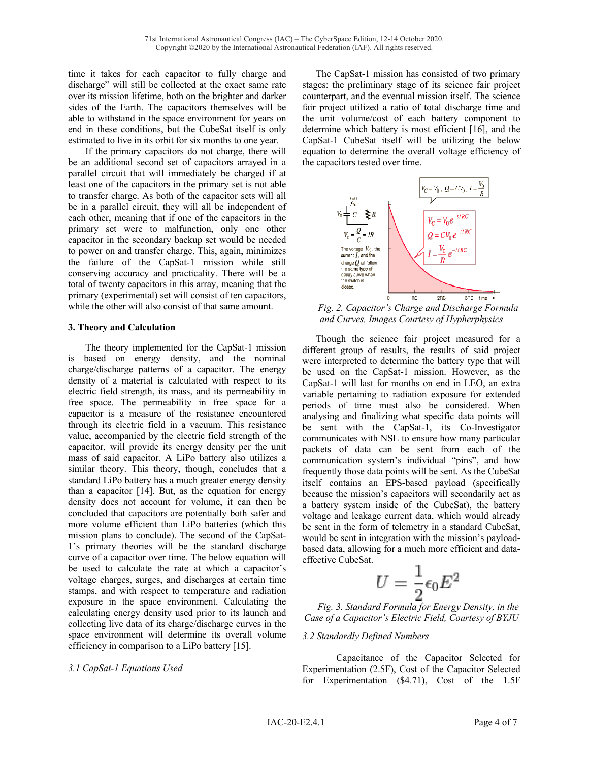time it takes for each capacitor to fully charge and discharge" will still be collected at the exact same rate over its mission lifetime, both on the brighter and darker sides of the Earth. The capacitors themselves will be able to withstand in the space environment for years on end in these conditions, but the CubeSat itself is only estimated to live in its orbit for six months to one year.

If the primary capacitors do not charge, there will be an additional second set of capacitors arrayed in a parallel circuit that will immediately be charged if at least one of the capacitors in the primary set is not able to transfer charge. As both of the capacitor sets will all be in a parallel circuit, they will all be independent of each other, meaning that if one of the capacitors in the primary set were to malfunction, only one other capacitor in the secondary backup set would be needed to power on and transfer charge. This, again, minimizes the failure of the CapSat-1 mission while still conserving accuracy and practicality. There will be a total of twenty capacitors in this array, meaning that the primary (experimental) set will consist of ten capacitors, while the other will also consist of that same amount.

## **3. Theory and Calculation**

The theory implemented for the CapSat-1 mission is based on energy density, and the nominal charge/discharge patterns of a capacitor. The energy density of a material is calculated with respect to its electric field strength, its mass, and its permeability in free space. The permeability in free space for a capacitor is a measure of the resistance encountered through its electric field in a vacuum. This resistance value, accompanied by the electric field strength of the capacitor, will provide its energy density per the unit mass of said capacitor. A LiPo battery also utilizes a similar theory. This theory, though, concludes that a standard LiPo battery has a much greater energy density than a capacitor [14]. But, as the equation for energy density does not account for volume, it can then be concluded that capacitors are potentially both safer and more volume efficient than LiPo batteries (which this mission plans to conclude). The second of the CapSat-1's primary theories will be the standard discharge curve of a capacitor over time. The below equation will be used to calculate the rate at which a capacitor's voltage charges, surges, and discharges at certain time stamps, and with respect to temperature and radiation exposure in the space environment. Calculating the calculating energy density used prior to its launch and collecting live data of its charge/discharge curves in the space environment will determine its overall volume efficiency in comparison to a LiPo battery [15].

# *3.1 CapSat-1 Equations Used*

The CapSat-1 mission has consisted of two primary stages: the preliminary stage of its science fair project counterpart, and the eventual mission itself. The science fair project utilized a ratio of total discharge time and the unit volume/cost of each battery component to determine which battery is most efficient [16], and the CapSat-1 CubeSat itself will be utilizing the below equation to determine the overall voltage efficiency of the capacitors tested over time.



*Fig. 2. Capacitor's Charge and Discharge Formula and Curves, Images Courtesy of Hypherphysics* 

Though the science fair project measured for a different group of results, the results of said project were interpreted to determine the battery type that will be used on the CapSat-1 mission. However, as the CapSat-1 will last for months on end in LEO, an extra variable pertaining to radiation exposure for extended periods of time must also be considered. When analysing and finalizing what specific data points will be sent with the CapSat-1, its Co-Investigator communicates with NSL to ensure how many particular packets of data can be sent from each of the communication system's individual "pins", and how frequently those data points will be sent. As the CubeSat itself contains an EPS-based payload (specifically because the mission's capacitors will secondarily act as a battery system inside of the CubeSat), the battery voltage and leakage current data, which would already be sent in the form of telemetry in a standard CubeSat, would be sent in integration with the mission's payloadbased data, allowing for a much more efficient and dataeffective CubeSat.

$$
U=\frac{1}{2}\epsilon_0 E^2
$$

*Fig. 3. Standard Formula for Energy Density, in the Case of a Capacitor's Electric Field, Courtesy of BYJU*

## *3.2 Standardly Defined Numbers*

Capacitance of the Capacitor Selected for Experimentation (2.5F), Cost of the Capacitor Selected for Experimentation (\$4.71), Cost of the 1.5F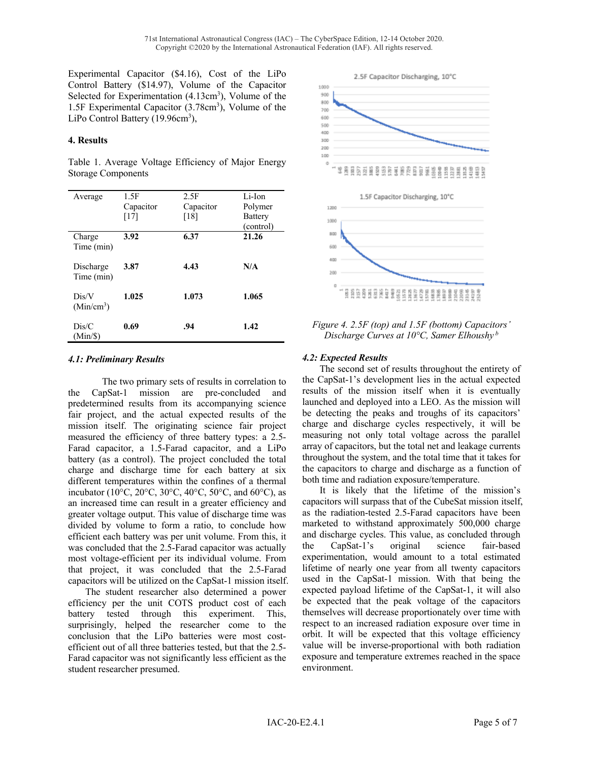Experimental Capacitor (\$4.16), Cost of the LiPo Control Battery (\$14.97), Volume of the Capacitor Selected for Experimentation (4.13cm<sup>3</sup>), Volume of the 1.5F Experimental Capacitor (3.78cm<sup>3</sup>), Volume of the LiPo Control Battery (19.96cm<sup>3</sup>),

## **4. Results**

Table 1. Average Voltage Efficiency of Major Energy Storage Components

| Average                         | 1.5F      | 2.5F      | Li-Ion    |
|---------------------------------|-----------|-----------|-----------|
|                                 | Capacitor | Capacitor | Polymer   |
|                                 | [17]      | [18]      | Battery   |
|                                 |           |           | (control) |
| Charge<br>Time (min)            | 3.92      | 6.37      | 21.26     |
| Discharge<br>Time (min)         | 3.87      | 4.43      | N/A       |
| Dis/V<br>(Min/cm <sup>3</sup> ) | 1.025     | 1.073     | 1.065     |
| Dis/C<br>$(Min/\$)$             | 0.69      | .94       | 1.42      |

## *4.1: Preliminary Results*

The two primary sets of results in correlation to the CapSat-1 mission are pre-concluded and predetermined results from its accompanying science fair project, and the actual expected results of the mission itself. The originating science fair project measured the efficiency of three battery types: a 2.5- Farad capacitor, a 1.5-Farad capacitor, and a LiPo battery (as a control). The project concluded the total charge and discharge time for each battery at six different temperatures within the confines of a thermal incubator (10 $\rm{^{\circ}C}$ , 20 $\rm{^{\circ}C}$ , 30 $\rm{^{\circ}C}$ , 40 $\rm{^{\circ}C}$ , 50 $\rm{^{\circ}C}$ , and 60 $\rm{^{\circ}C}$ ), as an increased time can result in a greater efficiency and greater voltage output. This value of discharge time was divided by volume to form a ratio, to conclude how efficient each battery was per unit volume. From this, it was concluded that the 2.5-Farad capacitor was actually most voltage-efficient per its individual volume. From that project, it was concluded that the 2.5-Farad capacitors will be utilized on the CapSat-1 mission itself.

The student researcher also determined a power efficiency per the unit COTS product cost of each battery tested through this experiment. This, surprisingly, helped the researcher come to the conclusion that the LiPo batteries were most costefficient out of all three batteries tested, but that the 2.5- Farad capacitor was not significantly less efficient as the student researcher presumed.



*Figure 4. 2.5F (top) and 1.5F (bottom) Capacitors' Discharge Curves at 10°C, Samer Elhoushy <sup>b</sup>*

# *4.2: Expected Results*

The second set of results throughout the entirety of the CapSat-1's development lies in the actual expected results of the mission itself when it is eventually launched and deployed into a LEO. As the mission will be detecting the peaks and troughs of its capacitors' charge and discharge cycles respectively, it will be measuring not only total voltage across the parallel array of capacitors, but the total net and leakage currents throughout the system, and the total time that it takes for the capacitors to charge and discharge as a function of both time and radiation exposure/temperature.

It is likely that the lifetime of the mission's capacitors will surpass that of the CubeSat mission itself, as the radiation-tested 2.5-Farad capacitors have been marketed to withstand approximately 500,000 charge and discharge cycles. This value, as concluded through the CapSat-1's original science fair-based experimentation, would amount to a total estimated lifetime of nearly one year from all twenty capacitors used in the CapSat-1 mission. With that being the expected payload lifetime of the CapSat-1, it will also be expected that the peak voltage of the capacitors themselves will decrease proportionately over time with respect to an increased radiation exposure over time in orbit. It will be expected that this voltage efficiency value will be inverse-proportional with both radiation exposure and temperature extremes reached in the space environment.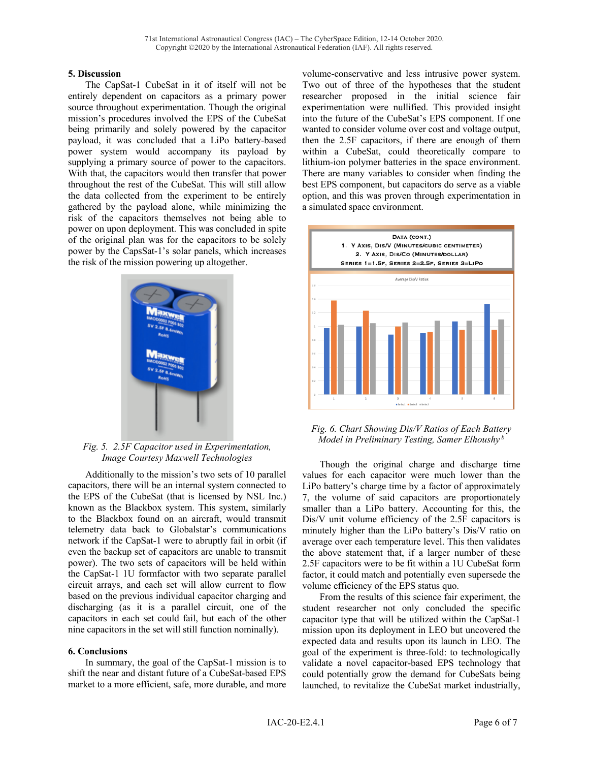## **5. Discussion**

The CapSat-1 CubeSat in it of itself will not be entirely dependent on capacitors as a primary power source throughout experimentation. Though the original mission's procedures involved the EPS of the CubeSat being primarily and solely powered by the capacitor payload, it was concluded that a LiPo battery-based power system would accompany its payload by supplying a primary source of power to the capacitors. With that, the capacitors would then transfer that power throughout the rest of the CubeSat. This will still allow the data collected from the experiment to be entirely gathered by the payload alone, while minimizing the risk of the capacitors themselves not being able to power on upon deployment. This was concluded in spite of the original plan was for the capacitors to be solely power by the CapsSat-1's solar panels, which increases the risk of the mission powering up altogether.



*Fig. 5. 2.5F Capacitor used in Experimentation, Image Courtesy Maxwell Technologies*

Additionally to the mission's two sets of 10 parallel capacitors, there will be an internal system connected to the EPS of the CubeSat (that is licensed by NSL Inc.) known as the Blackbox system. This system, similarly to the Blackbox found on an aircraft, would transmit telemetry data back to Globalstar's communications network if the CapSat-1 were to abruptly fail in orbit (if even the backup set of capacitors are unable to transmit power). The two sets of capacitors will be held within the CapSat-1 1U formfactor with two separate parallel circuit arrays, and each set will allow current to flow based on the previous individual capacitor charging and discharging (as it is a parallel circuit, one of the capacitors in each set could fail, but each of the other nine capacitors in the set will still function nominally).

## **6. Conclusions**

In summary, the goal of the CapSat-1 mission is to shift the near and distant future of a CubeSat-based EPS market to a more efficient, safe, more durable, and more volume-conservative and less intrusive power system. Two out of three of the hypotheses that the student researcher proposed in the initial science fair experimentation were nullified. This provided insight into the future of the CubeSat's EPS component. If one wanted to consider volume over cost and voltage output, then the 2.5F capacitors, if there are enough of them within a CubeSat, could theoretically compare to lithium-ion polymer batteries in the space environment. There are many variables to consider when finding the best EPS component, but capacitors do serve as a viable option, and this was proven through experimentation in a simulated space environment.



## *Fig. 6. Chart Showing Dis/V Ratios of Each Battery Model in Preliminary Testing, Samer Elhoushy <sup>b</sup>*

Though the original charge and discharge time values for each capacitor were much lower than the LiPo battery's charge time by a factor of approximately 7, the volume of said capacitors are proportionately smaller than a LiPo battery. Accounting for this, the Dis/V unit volume efficiency of the 2.5F capacitors is minutely higher than the LiPo battery's Dis/V ratio on average over each temperature level. This then validates the above statement that, if a larger number of these 2.5F capacitors were to be fit within a 1U CubeSat form factor, it could match and potentially even supersede the volume efficiency of the EPS status quo.

From the results of this science fair experiment, the student researcher not only concluded the specific capacitor type that will be utilized within the CapSat-1 mission upon its deployment in LEO but uncovered the expected data and results upon its launch in LEO. The goal of the experiment is three-fold: to technologically validate a novel capacitor-based EPS technology that could potentially grow the demand for CubeSats being launched, to revitalize the CubeSat market industrially,